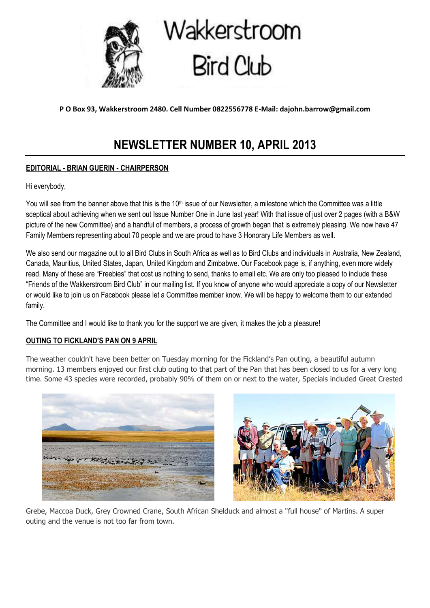

# Wakkerstroom Bird Club

**P O Box 93, Wakkerstroom 2480. Cell Number 0822556778 E-Mail: dajohn.barrow@gmail.com**

# **NEWSLETTER NUMBER 10, APRIL 2013**

# **EDITORIAL - BRIAN GUERIN - CHAIRPERSON**

Hi everybody,

You will see from the banner above that this is the  $10<sup>th</sup>$  issue of our Newsletter, a milestone which the Committee was a little sceptical about achieving when we sent out Issue Number One in June last year! With that issue of just over 2 pages (with a B&W picture of the new Committee) and a handful of members, a process of growth began that is extremely pleasing. We now have 47 Family Members representing about 70 people and we are proud to have 3 Honorary Life Members as well.

We also send our magazine out to all Bird Clubs in South Africa as well as to Bird Clubs and individuals in Australia, New Zealand, Canada, Mauritius, United States, Japan, United Kingdom and Zimbabwe. Our Facebook page is, if anything, even more widely read. Many of these are "Freebies" that cost us nothing to send, thanks to email etc. We are only too pleased to include these "Friends of the Wakkerstroom Bird Club" in our mailing list. If you know of anyone who would appreciate a copy of our Newsletter or would like to join us on Facebook please let a Committee member know. We will be happy to welcome them to our extended family.

The Committee and I would like to thank you for the support we are given, it makes the job a pleasure!

# **OUTING TO FICKLAND'S PAN ON 9 APRIL**

The weather couldn't have been better on Tuesday morning for the Fickland's Pan outing, a beautiful autumn morning. 13 members enjoyed our first club outing to that part of the Pan that has been closed to us for a very long time. Some 43 species were recorded, probably 90% of them on or next to the water, Specials included Great Crested





Grebe, Maccoa Duck, Grey Crowned Crane, South African Shelduck and almost a "full house" of Martins. A super outing and the venue is not too far from town.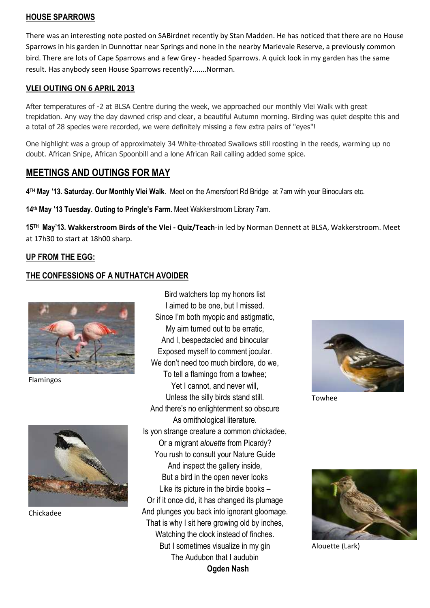#### **HOUSE SPARROWS**

There was an interesting note posted on SABirdnet recently by Stan Madden. He has noticed that there are no House Sparrows in his garden in Dunnottar near Springs and none in the nearby Marievale Reserve, a previously common bird. There are lots of Cape Sparrows and a few Grey - headed Sparrows. A quick look in my garden has the same result. Has anybody seen House Sparrows recently?.......Norman.

#### **VLEI OUTING ON 6 APRIL 2013**

After temperatures of -2 at BLSA Centre during the week, we approached our monthly Vlei Walk with great trepidation. Any way the day dawned crisp and clear, a beautiful Autumn morning. Birding was quiet despite this and a total of 28 species were recorded, we were definitely missing a few extra pairs of "eyes"!

One highlight was a group of approximately 34 White-throated Swallows still roosting in the reeds, warming up no doubt. African Snipe, African Spoonbill and a lone African Rail calling added some spice.

# **MEETINGS AND OUTINGS FOR MAY**

**4 TH May '13. Saturday. Our Monthly Vlei Walk**. Meet on the Amersfoort Rd Bridge at 7am with your Binoculars etc.

**14th May '13 Tuesday. Outing to Pringle's Farm.** Meet Wakkerstroom Library 7am.

**15 TH May'13. Wakkerstroom Birds of the Vlei - Quiz/Teach**-in led by Norman Dennett at BLSA, Wakkerstroom. Meet at 17h30 to start at 18h00 sharp.

# **UP FROM THE EGG:**

# **THE CONFESSIONS OF A NUTHATCH AVOIDER**



Flamingos



Chickadee

Bird watchers top my honors list I aimed to be one, but I missed. Since I'm both myopic and astigmatic, My aim turned out to be erratic, And I, bespectacled and binocular Exposed myself to comment jocular. We don't need too much birdlore, do we, To tell a flamingo from a towhee; Yet I cannot, and never will. Unless the silly birds stand still. And there's no enlightenment so obscure As ornithological literature. Is yon strange creature a common chickadee, Or a migrant *alouette* from Picardy? You rush to consult your Nature Guide And inspect the gallery inside, But a bird in the open never looks Like its picture in the birdie books – Or if it once did, it has changed its plumage And plunges you back into ignorant gloomage. That is why I sit here growing old by inches, Watching the clock instead of finches. But I sometimes visualize in my gin The Audubon that I audubin **Ogden Nash**



Towhee



Alouette (Lark)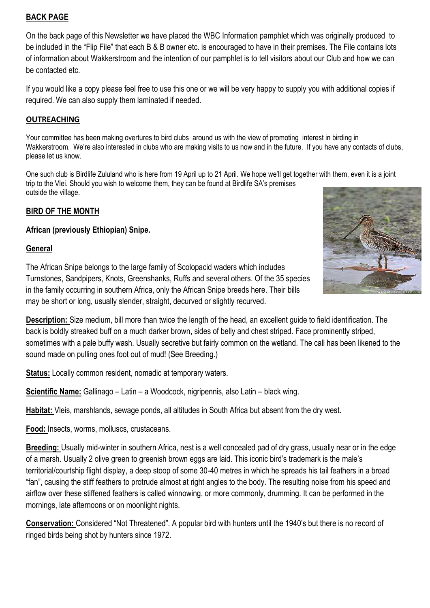# **BACK PAGE**

On the back page of this Newsletter we have placed the WBC Information pamphlet which was originally produced to be included in the "Flip File" that each B & B owner etc. is encouraged to have in their premises. The File contains lots of information about Wakkerstroom and the intention of our pamphlet is to tell visitors about our Club and how we can be contacted etc.

If you would like a copy please feel free to use this one or we will be very happy to supply you with additional copies if required. We can also supply them laminated if needed.

# **OUTREACHING**

Your committee has been making overtures to bird clubs around us with the view of promoting interest in birding in Wakkerstroom. We're also interested in clubs who are making visits to us now and in the future. If you have any contacts of clubs, please let us know.

One such club is Birdlife Zululand who is here from 19 April up to 21 April. We hope we'll get together with them, even it is a joint trip to the Vlei. Should you wish to welcome them, they can be found at Birdlife SA's premises outside the village.

# **BIRD OF THE MONTH**

# **African (previously Ethiopian) Snipe.**

#### **General**



The African Snipe belongs to the large family of Scolopacid waders which includes Turnstones, Sandpipers, Knots, Greenshanks, Ruffs and several others. Of the 35 species in the family occurring in southern Africa, only the African Snipe breeds here. Their bills may be short or long, usually slender, straight, decurved or slightly recurved.

**Description:** Size medium, bill more than twice the length of the head, an excellent guide to field identification. The back is boldly streaked buff on a much darker brown, sides of belly and chest striped. Face prominently striped, sometimes with a pale buffy wash. Usually secretive but fairly common on the wetland. The call has been likened to the sound made on pulling ones foot out of mud! (See Breeding.)

**Status:** Locally common resident, nomadic at temporary waters.

**Scientific Name:** Gallinago – Latin – a Woodcock, nigripennis, also Latin – black wing.

**Habitat:** Vleis, marshlands, sewage ponds, all altitudes in South Africa but absent from the dry west.

**Food:** Insects, worms, molluscs, crustaceans.

**Breeding:** Usually mid-winter in southern Africa, nest is a well concealed pad of dry grass, usually near or in the edge of a marsh. Usually 2 olive green to greenish brown eggs are laid. This iconic bird's trademark is the male's territorial/courtship flight display, a deep stoop of some 30-40 metres in which he spreads his tail feathers in a broad "fan", causing the stiff feathers to protrude almost at right angles to the body. The resulting noise from his speed and airflow over these stiffened feathers is called winnowing, or more commonly, drumming. It can be performed in the mornings, late afternoons or on moonlight nights.

**Conservation:** Considered "Not Threatened". A popular bird with hunters until the 1940's but there is no record of ringed birds being shot by hunters since 1972.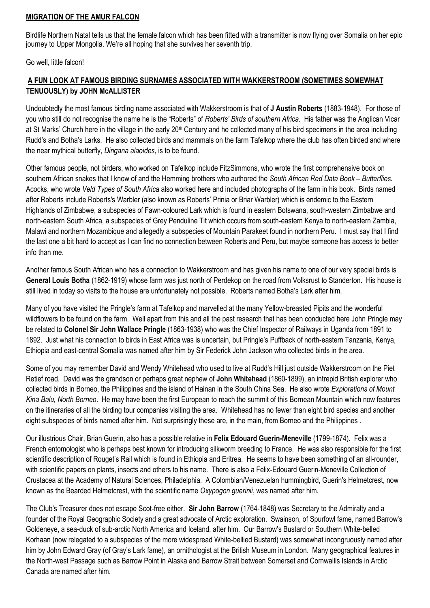#### **MIGRATION OF THE AMUR FALCON**

Birdlife Northern Natal tells us that the female falcon which has been fitted with a transmitter is now flying over Somalia on her epic journey to Upper Mongolia. We're all hoping that she survives her seventh trip.

Go well, little falcon!

# **A FUN LOOK AT FAMOUS BIRDING SURNAMES ASSOCIATED WITH WAKKERSTROOM (SOMETIMES SOMEWHAT TENUOUSLY) by JOHN McALLISTER**

Undoubtedly the most famous birding name associated with Wakkerstroom is that of **J Austin Roberts** (1883-1948). For those of you who still do not recognise the name he is the "Roberts" of *Roberts' Birds of southern Africa*. His father was the Anglican Vicar at St Marks' Church here in the village in the early  $20<sup>th</sup>$  Century and he collected many of his bird specimens in the area including Rudd's and Botha's Larks. He also collected birds and mammals on the farm Tafelkop where the club has often birded and where the near mythical butterfly, *Dingana alaoides*, is to be found.

Other famous people, not birders, who worked on Tafelkop include FitzSimmons, who wrote the first comprehensive book on southern African snakes that I know of and the Hemming brothers who authored the *South African Red Data Book – Butterflies*. Acocks, who wrote *Veld Types of South Africa* also worked here and included photographs of the farm in his book. Birds named after Roberts include Roberts's Warbler (also known as Roberts' Prinia or Briar Warbler) which is endemic to the Eastern Highlands of Zimbabwe, a subspecies of Fawn-coloured Lark which is found in eastern Botswana, south-western Zimbabwe and north-eastern South Africa, a subspecies of Grey Penduline Tit which occurs from south-eastern Kenya to north-eastern Zambia, Malawi and northern Mozambique and allegedly a subspecies of Mountain Parakeet found in northern Peru. I must say that I find the last one a bit hard to accept as I can find no connection between Roberts and Peru, but maybe someone has access to better info than me.

Another famous South African who has a connection to Wakkerstroom and has given his name to one of our very special birds is **General Louis Botha** (1862-1919) whose farm was just north of Perdekop on the road from Volksrust to Standerton. His house is still lived in today so visits to the house are unfortunately not possible. Roberts named Botha's Lark after him.

Many of you have visited the Pringle's farm at Tafelkop and marvelled at the many Yellow-breasted Pipits and the wonderful wildflowers to be found on the farm. Well apart from this and all the past research that has been conducted here John Pringle may be related to **Colonel Sir John Wallace Pringle** (1863-1938) who was the Chief Inspector of Railways in Uganda from 1891 to 1892. Just what his connection to birds in East Africa was is uncertain, but Pringle's Puffback of north-eastern Tanzania, Kenya, Ethiopia and east-central Somalia was named after him by Sir Federick John Jackson who collected birds in the area.

Some of you may remember David and Wendy Whitehead who used to live at Rudd's Hill just outside Wakkerstroom on the Piet Retief road. David was the grandson or perhaps great nephew of **John Whitehead** (1860-1899), an intrepid British explorer who collected birds in Borneo, the Philippines and the island of Hainan in the South China Sea. He also wrote *Explorations of Mount Kina Balu, North Borneo*. He may have been the first European to reach the summit of this Bornean Mountain which now features on the itineraries of all the birding tour companies visiting the area. Whitehead has no fewer than eight bird species and another eight subspecies of birds named after him. Not surprisingly these are, in the main, from Borneo and the Philippines .

Our illustrious Chair, Brian Guerin, also has a possible relative in **Felix Edouard Guerin-Meneville** (1799-1874). Felix was a French entomologist who is perhaps best known for introducing silkworm breeding to France. He was also responsible for the first scientific description of Rouget's Rail which is found in Ethiopia and Eritrea. He seems to have been something of an all-rounder, with scientific papers on plants, insects and others to his name. There is also a Felix-Edouard Guerin-Meneville Collection of Crustacea at the Academy of Natural Sciences, Philadelphia. A Colombian/Venezuelan hummingbird, Guerin's Helmetcrest, now known as the Bearded Helmetcrest, with the scientific name *Oxypogon guerinii*, was named after him.

The Club's Treasurer does not escape Scot-free either. **Sir John Barrow** (1764-1848) was Secretary to the Admiralty and a founder of the Royal Geographic Society and a great advocate of Arctic exploration. Swainson, of Spurfowl fame, named Barrow's Goldeneye, a sea-duck of sub-arctic North America and Iceland, after him. Our Barrow's Bustard or Southern White-belled Korhaan (now relegated to a subspecies of the more widespread White-bellied Bustard) was somewhat incongruously named after him by John Edward Gray (of Gray's Lark fame), an ornithologist at the British Museum in London. Many geographical features in the North-west Passage such as Barrow Point in Alaska and Barrow Strait between Somerset and Cornwallis Islands in Arctic Canada are named after him.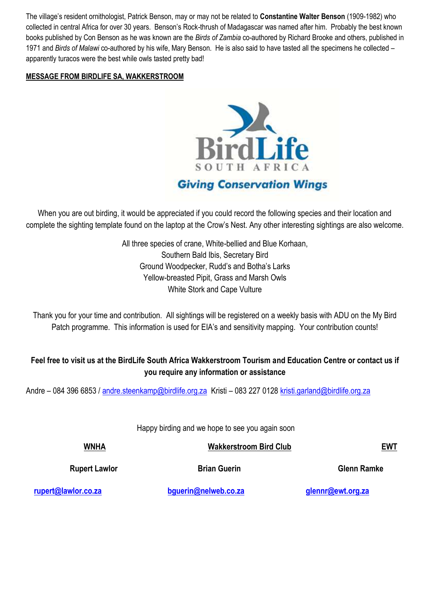The village's resident ornithologist, Patrick Benson, may or may not be related to **Constantine Walter Benson** (1909-1982) who collected in central Africa for over 30 years. Benson's Rock-thrush of Madagascar was named after him. Probably the best known books published by Con Benson as he was known are the *Birds of Zambia* co-authored by Richard Brooke and others, published in 1971 and *Birds of Malawi* co-authored by his wife, Mary Benson. He is also said to have tasted all the specimens he collected – apparently turacos were the best while owls tasted pretty bad!

#### **MESSAGE FROM BIRDLIFE SA, WAKKERSTROOM**



# **Giving Conservation Wings**

When you are out birding, it would be appreciated if you could record the following species and their location and complete the sighting template found on the laptop at the Crow's Nest. Any other interesting sightings are also welcome.

> All three species of crane, White-bellied and Blue Korhaan, Southern Bald Ibis, Secretary Bird Ground Woodpecker, Rudd's and Botha's Larks Yellow-breasted Pipit, Grass and Marsh Owls White Stork and Cape Vulture

Thank you for your time and contribution. All sightings will be registered on a weekly basis with ADU on the My Bird Patch programme. This information is used for EIA's and sensitivity mapping. Your contribution counts!

# **Feel free to visit us at the BirdLife South Africa Wakkerstroom Tourism and Education Centre or contact us if you require any information or assistance**

Andre – 084 396 6853 / [andre.steenkamp@birdlife.org.za](mailto:andre.steenkamp@birdlife.org.za) Kristi – 083 227 0128 [kristi.garland@birdlife.org.za](mailto:kristi.garland@birdlife.org.za)

Happy birding and we hope to see you again soon

| <b>WNHA</b>          | <b>Wakkerstroom Bird Club</b> | <u>EWT</u>         |
|----------------------|-------------------------------|--------------------|
| <b>Rupert Lawlor</b> | <b>Brian Guerin</b>           | <b>Glenn Ramke</b> |
| .                    | .                             |                    |

 **[rupert@lawlor.co.za](mailto:rupert@lawlor.co.za) [bguerin@nelweb.co.za](mailto:bguerin@nelweb.co.za) [glennr@ewt.org.za](mailto:glennr@ewt.org.za)**